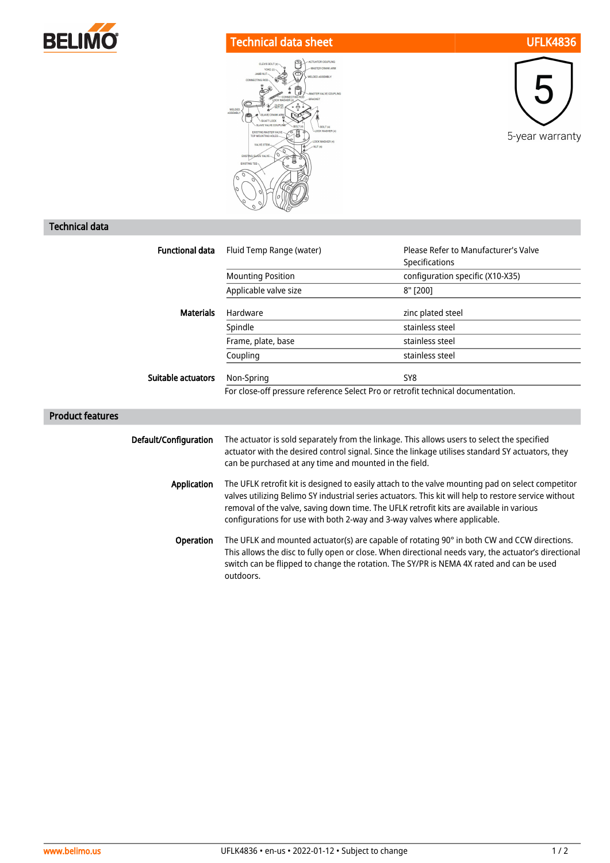

## Technical data sheet UFLK4836





## Technical data

| <b>Functional data</b>  | Fluid Temp Range (water)                                                                                                                                                                                                                                                                                                                                                           | Please Refer to Manufacturer's Valve |
|-------------------------|------------------------------------------------------------------------------------------------------------------------------------------------------------------------------------------------------------------------------------------------------------------------------------------------------------------------------------------------------------------------------------|--------------------------------------|
|                         |                                                                                                                                                                                                                                                                                                                                                                                    | Specifications                       |
|                         | <b>Mounting Position</b>                                                                                                                                                                                                                                                                                                                                                           | configuration specific (X10-X35)     |
|                         | Applicable valve size                                                                                                                                                                                                                                                                                                                                                              | 8" [200]                             |
| <b>Materials</b>        | Hardware                                                                                                                                                                                                                                                                                                                                                                           | zinc plated steel                    |
|                         | Spindle                                                                                                                                                                                                                                                                                                                                                                            | stainless steel                      |
|                         | Frame, plate, base                                                                                                                                                                                                                                                                                                                                                                 | stainless steel                      |
|                         | Coupling                                                                                                                                                                                                                                                                                                                                                                           | stainless steel                      |
| Suitable actuators      | Non-Spring                                                                                                                                                                                                                                                                                                                                                                         | SY8                                  |
|                         | For close-off pressure reference Select Pro or retrofit technical documentation.                                                                                                                                                                                                                                                                                                   |                                      |
| <b>Product features</b> |                                                                                                                                                                                                                                                                                                                                                                                    |                                      |
| Default/Configuration   | The actuator is sold separately from the linkage. This allows users to select the specified<br>actuator with the desired control signal. Since the linkage utilises standard SY actuators, they<br>can be purchased at any time and mounted in the field.                                                                                                                          |                                      |
| Application             | The UFLK retrofit kit is designed to easily attach to the valve mounting pad on select competitor<br>valves utilizing Belimo SY industrial series actuators. This kit will help to restore service without<br>removal of the valve, saving down time. The UFLK retrofit kits are available in various<br>configurations for use with both 2-way and 3-way valves where applicable. |                                      |
| Operation               | The UFLK and mounted actuator(s) are capable of rotating 90° in both CW and CCW directions.<br>This allows the disc to fully open or close. When directional needs vary, the actuator's directional<br>switch can be flipped to change the rotation. The SY/PR is NEMA 4X rated and can be used<br>outdoors.                                                                       |                                      |